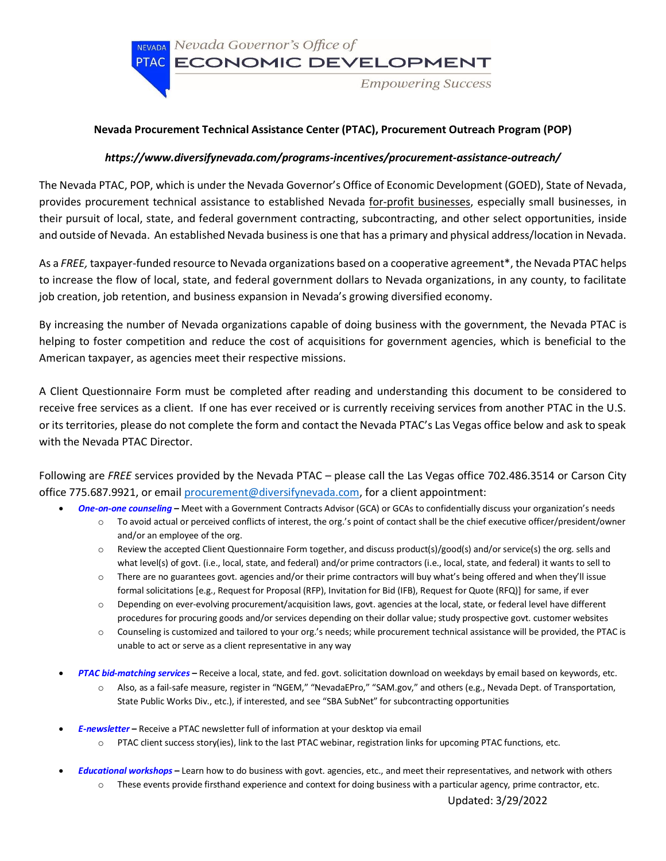

## **Nevada Procurement Technical Assistance Center (PTAC), Procurement Outreach Program (POP)**

## *https://www.diversifynevada.com/programs-incentives/procurement-assistance-outreach/*

The Nevada PTAC, POP, which is under the Nevada Governor's Office of Economic Development (GOED), State of Nevada, provides procurement technical assistance to established Nevada for-profit businesses, especially small businesses, in their pursuit of local, state, and federal government contracting, subcontracting, and other select opportunities, inside and outside of Nevada. An established Nevada business is one that has a primary and physical address/location in Nevada.

As a *FREE,* taxpayer-funded resource to Nevada organizations based on a cooperative agreement\*, the Nevada PTAC helps to increase the flow of local, state, and federal government dollars to Nevada organizations, in any county, to facilitate job creation, job retention, and business expansion in Nevada's growing diversified economy.

By increasing the number of Nevada organizations capable of doing business with the government, the Nevada PTAC is helping to foster competition and reduce the cost of acquisitions for government agencies, which is beneficial to the American taxpayer, as agencies meet their respective missions.

A Client Questionnaire Form must be completed after reading and understanding this document to be considered to receive free services as a client. If one has ever received or is currently receiving services from another PTAC in the U.S. or its territories, please do not complete the form and contact the Nevada PTAC's Las Vegas office below and ask to speak with the Nevada PTAC Director.

Following are *FREE* services provided by the Nevada PTAC – please call the Las Vegas office 702.486.3514 or Carson City office 775.687.9921, or email [procurement@diversifynevada.com,](mailto:procurement@diversifynevada.com) for a client appointment:

- *One-on-one counseling* **–** Meet with a Government Contracts Advisor (GCA) or GCAs to confidentially discuss your organization's needs
	- o To avoid actual or perceived conflicts of interest, the org.'s point of contact shall be the chief executive officer/president/owner and/or an employee of the org.
	- o Review the accepted Client Questionnaire Form together, and discuss product(s)/good(s) and/or service(s) the org. sells and what level(s) of govt. (i.e., local, state, and federal) and/or prime contractors (i.e., local, state, and federal) it wants to sell to
	- o There are no guarantees govt. agencies and/or their prime contractors will buy what's being offered and when they'll issue formal solicitations [e.g., Request for Proposal (RFP), Invitation for Bid (IFB), Request for Quote (RFQ)] for same, if ever
	- o Depending on ever-evolving procurement/acquisition laws, govt. agencies at the local, state, or federal level have different procedures for procuring goods and/or services depending on their dollar value; study prospective govt. customer websites
	- o Counseling is customized and tailored to your org.'s needs; while procurement technical assistance will be provided, the PTAC is unable to act or serve as a client representative in any way
- *PTAC bid-matching services* **–** Receive a local, state, and fed. govt.solicitation download on weekdays by email based on keywords, etc.
	- o Also, as a fail-safe measure, register in "NGEM," "NevadaEPro," "SAM.gov," and others (e.g., Nevada Dept. of Transportation, State Public Works Div., etc.), if interested, and see "SBA SubNet" for subcontracting opportunities
- *E-newsletter* **–** Receive a PTAC newsletter full of information at your desktop via email
	- $\circ$  PTAC client success story(ies), link to the last PTAC webinar, registration links for upcoming PTAC functions, etc.
- *Educational workshops* **–** Learn how to do business with govt. agencies, etc., and meet their representatives, and network with others
	- o These events provide firsthand experience and context for doing business with a particular agency, prime contractor, etc.

Updated: 3/29/2022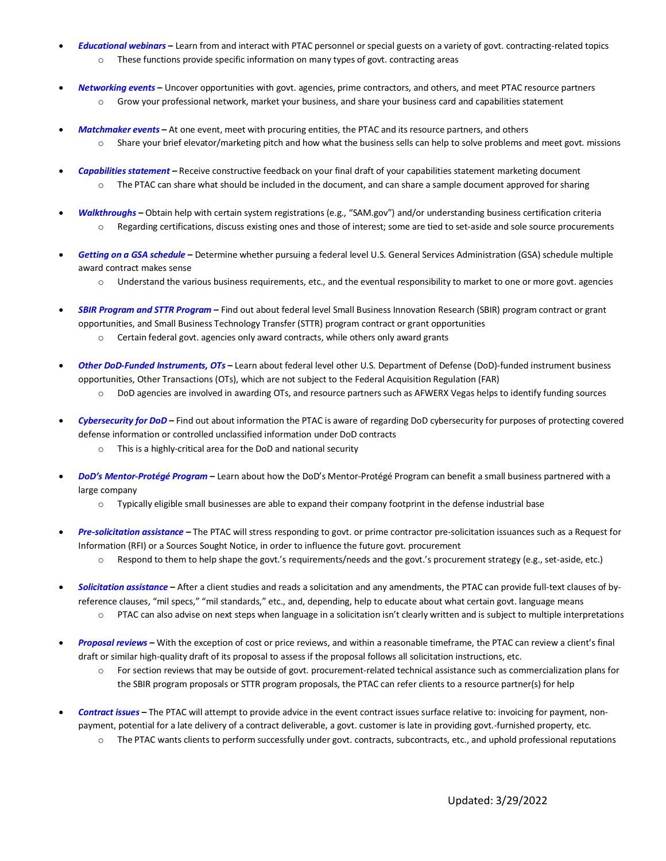- *Educational webinars* **–** Learn from and interact with PTAC personnel or special guests on a variety of govt. contracting-related topics o These functions provide specific information on many types of govt. contracting areas
- *Networking events* **–** Uncover opportunities with govt. agencies, prime contractors, and others, and meet PTAC resource partners o Grow your professional network, market your business, and share your business card and capabilities statement
- *Matchmaker events* **–** At one event, meet with procuring entities, the PTAC and its resource partners, and others o Share your brief elevator/marketing pitch and how what the business sells can help to solve problems and meet govt. missions
- *Capabilities statement* **–** Receive constructive feedback on your final draft of your capabilities statement marketing document  $\circ$  The PTAC can share what should be included in the document, and can share a sample document approved for sharing
- *Walkthroughs* **–** Obtain help with certain system registrations (e.g., "SAM.gov") and/or understanding business certification criteria o Regarding certifications, discuss existing ones and those of interest; some are tied to set-aside and sole source procurements
- *Getting on a GSA schedule* **–** Determine whether pursuing a federal level U.S. General Services Administration (GSA) schedule multiple award contract makes sense
	- o Understand the various business requirements, etc., and the eventual responsibility to market to one or more govt. agencies
- *SBIR Program and STTR Program* **–** Find out about federal level Small Business Innovation Research (SBIR) program contract or grant opportunities, and Small Business Technology Transfer (STTR) program contract or grant opportunities
	- o Certain federal govt. agencies only award contracts, while others only award grants
- *Other DoD-Funded Instruments, OTs* **–** Learn about federal level other U.S. Department of Defense (DoD)-funded instrument business opportunities, Other Transactions (OTs), which are not subject to the Federal Acquisition Regulation (FAR)
	- o DoD agencies are involved in awarding OTs, and resource partners such as AFWERX Vegas helps to identify funding sources
- *Cybersecurity for DoD* **–** Find out about information the PTAC is aware of regarding DoD cybersecurity for purposes of protecting covered defense information or controlled unclassified information under DoD contracts
	- o This is a highly-critical area for the DoD and national security
- *DoD's Mentor-Protégé Program* **–** Learn about how the DoD's Mentor-Protégé Program can benefit a small business partnered with a large company
	- $\circ$  Typically eligible small businesses are able to expand their company footprint in the defense industrial base
- *Pre-solicitation assistance* **–** The PTAC will stress responding to govt. or prime contractor pre-solicitation issuances such as a Request for Information (RFI) or a Sources Sought Notice, in order to influence the future govt. procurement
	- o Respond to them to help shape the govt.'s requirements/needs and the govt.'s procurement strategy (e.g., set-aside, etc.)
- *Solicitation assistance* **–** After a client studies and reads a solicitation and any amendments, the PTAC can provide full-text clauses of byreference clauses, "mil specs," "mil standards," etc., and, depending, help to educate about what certain govt. language means
	- o PTAC can also advise on next steps when language in a solicitation isn't clearly written and is subject to multiple interpretations
- *Proposal reviews* **–** With the exception of cost or price reviews, and within a reasonable timeframe, the PTAC can review a client's final draft or similar high-quality draft of its proposal to assess if the proposal follows all solicitation instructions, etc.
	- o For section reviews that may be outside of govt. procurement-related technical assistance such as commercialization plans for the SBIR program proposals or STTR program proposals, the PTAC can refer clients to a resource partner(s) for help
- *Contract issues* **–** The PTAC will attempt to provide advice in the event contract issues surface relative to: invoicing for payment, nonpayment, potential for a late delivery of a contract deliverable, a govt. customer is late in providing govt.-furnished property, etc.
	- o The PTAC wants clients to perform successfully under govt. contracts, subcontracts, etc., and uphold professional reputations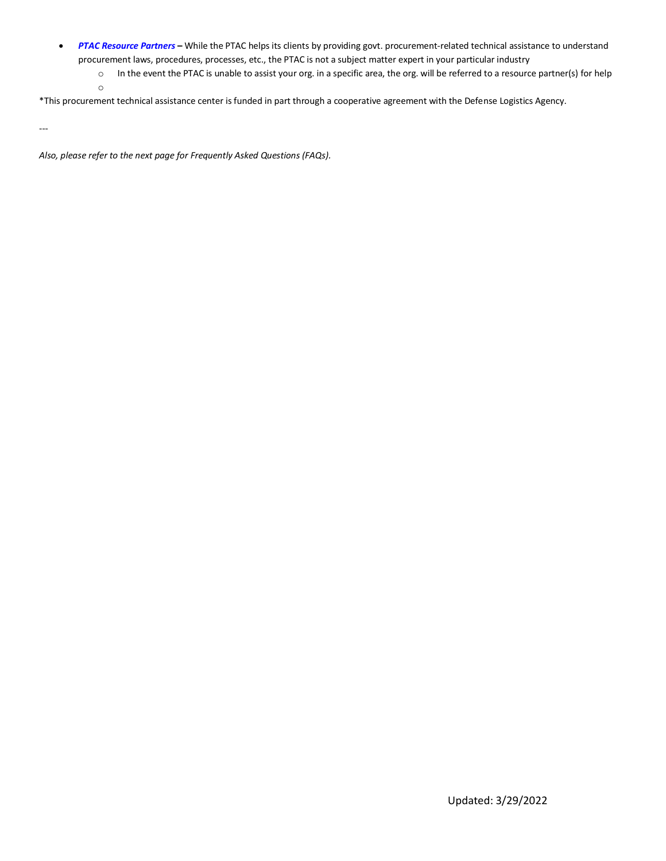- *PTAC Resource Partners* **–** While the PTAC helps its clients by providing govt. procurement-related technical assistance to understand procurement laws, procedures, processes, etc., the PTAC is not a subject matter expert in your particular industry
	- o In the event the PTAC is unable to assist your org. in a specific area, the org. will be referred to a resource partner(s) for help o

\*This procurement technical assistance center is funded in part through a cooperative agreement with the Defense Logistics Agency.

---

*Also, please refer to the next page for Frequently Asked Questions (FAQs).*